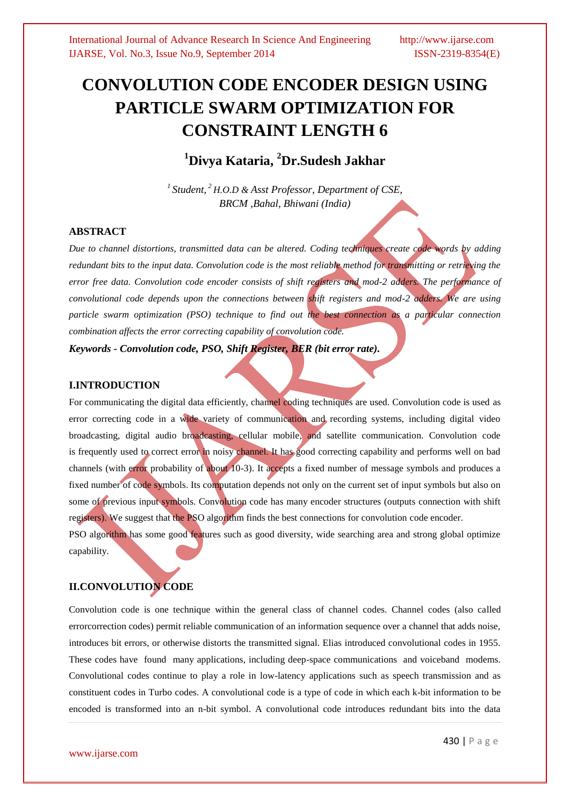# **CONVOLUTION CODE ENCODER DESIGN USING PARTICLE SWARM OPTIMIZATION FOR CONSTRAINT LENGTH 6**

**<sup>1</sup>Divya Kataria, <sup>2</sup>Dr.Sudesh Jakhar**

*<sup>1</sup>Student, <sup>2</sup>H.O.D & Asst Professor, Department of CSE, BRCM ,Bahal, Bhiwani (India)* 

### **ABSTRACT**

*Due to channel distortions, transmitted data can be altered. Coding techniques create code words by adding redundant bits to the input data. Convolution code is the most reliable method for transmitting or retrieving the error free data. Convolution code encoder consists of shift registers and mod-2 adders. The performance of convolutional code depends upon the connections between shift registers and mod-2 adders. We are using particle swarm optimization (PSO) technique to find out the best connection as a particular connection combination affects the error correcting capability of convolution code.*

*Keywords - Convolution code, PSO, Shift Register, BER (bit error rate).*

### **I.INTRODUCTION**

For communicating the digital data efficiently, channel coding techniques are used. Convolution code is used as error correcting code in a wide variety of communication and recording systems, including digital video broadcasting, digital audio broadcasting, cellular mobile, and satellite communication. Convolution code is frequently used to correct error in noisy channel. It has good correcting capability and performs well on bad channels (with error probability of about 10-3). It accepts a fixed number of message symbols and produces a fixed number of code symbols. Its computation depends not only on the current set of input symbols but also on some of previous input symbols. Convolution code has many encoder structures (outputs connection with shift registers). We suggest that the PSO algorithm finds the best connections for convolution code encoder. PSO algorithm has some good features such as good diversity, wide searching area and strong global optimize

# **II.CONVOLUTION CODE**

capability.

Convolution code is one technique within the general class of channel codes. Channel codes (also called errorcorrection codes) permit reliable communication of an information sequence over a channel that adds noise, introduces bit errors, or otherwise distorts the transmitted signal. Elias introduced convolutional codes in 1955. These codes have found many applications, including deep-space communications and voiceband modems. Convolutional codes continue to play a role in low-latency applications such as speech transmission and as constituent codes in Turbo codes. A convolutional code is a type of code in which each k-bit information to be encoded is transformed into an n-bit symbol. A convolutional code introduces redundant bits into the data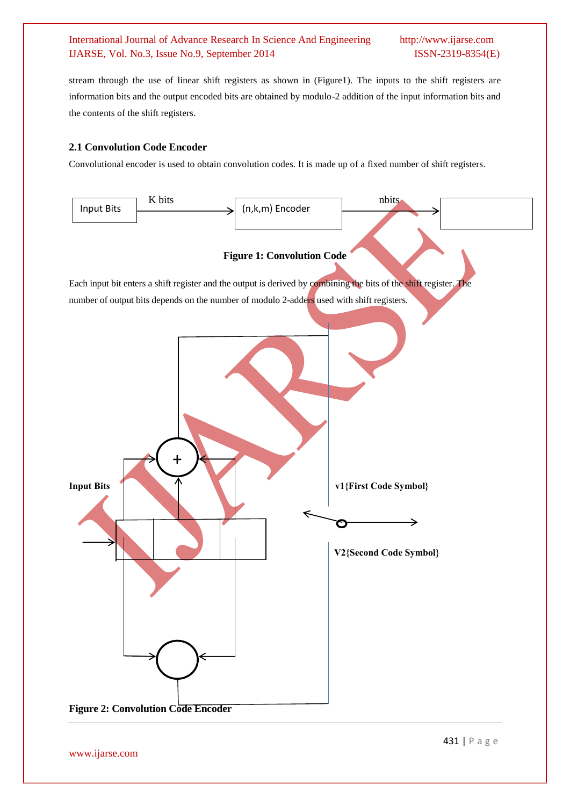stream through the use of linear shift registers as shown in (Figure1). The inputs to the shift registers are information bits and the output encoded bits are obtained by modulo-2 addition of the input information bits and the contents of the shift registers.

# **2.1 Convolution Code Encoder**

Convolutional encoder is used to obtain convolution codes. It is made up of a fixed number of shift registers.



www.ijarse.com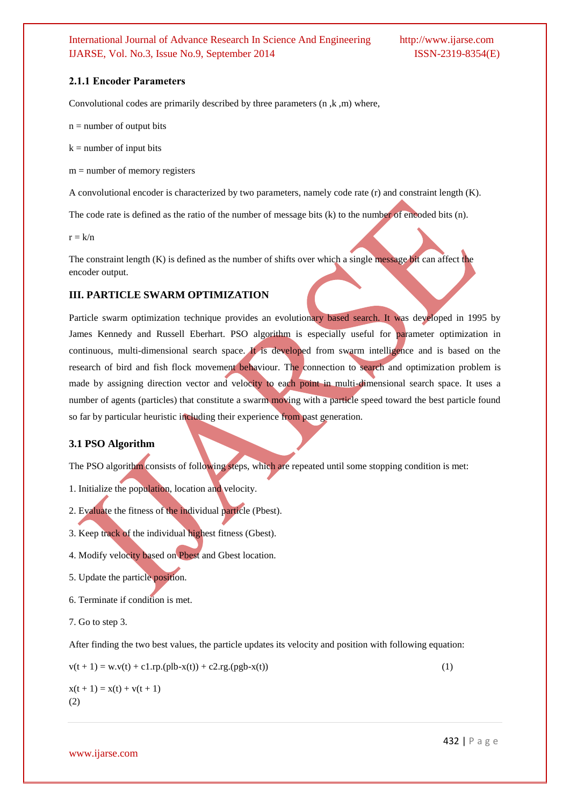#### **2.1.1 Encoder Parameters**

Convolutional codes are primarily described by three parameters (n ,k ,m) where,

 $n =$  number of output bits

 $k =$  number of input bits

 $m =$  number of memory registers

A convolutional encoder is characterized by two parameters, namely code rate (r) and constraint length (K).

The code rate is defined as the ratio of the number of message bits (k) to the number of encoded bits (n).

 $r = k/n$ 

The constraint length (K) is defined as the number of shifts over which a single message bit can affect the encoder output.

#### **III. PARTICLE SWARM OPTIMIZATION**

Particle swarm optimization technique provides an evolutionary based search. It was developed in 1995 by James Kennedy and Russell Eberhart. PSO algorithm is especially useful for parameter optimization in continuous, multi-dimensional search space. It is developed from swarm intelligence and is based on the research of bird and fish flock movement behaviour. The connection to search and optimization problem is made by assigning direction vector and velocity to each point in multi-dimensional search space. It uses a number of agents (particles) that constitute a swarm moving with a particle speed toward the best particle found so far by particular heuristic including their experience from past generation.

#### **3.1 PSO Algorithm**

The PSO algorithm consists of following steps, which are repeated until some stopping condition is met:

- 1. Initialize the population, location and velocity.
- 2. Evaluate the fitness of the individual particle (Pbest).
- 3. Keep track of the individual highest fitness (Gbest).
- 4. Modify velocity based on Pbest and Gbest location.
- 5. Update the particle position.
- 6. Terminate if condition is met.
- 7. Go to step 3.

After finding the two best values, the particle updates its velocity and position with following equation:

$$
v(t + 1) = w \cdot v(t) + c1 \cdot rp \cdot (plb - x(t)) + c2 \cdot rg \cdot (pgb - x(t))
$$
\n(1)

 $x(t + 1) = x(t) + v(t + 1)$ (2)

www.ijarse.com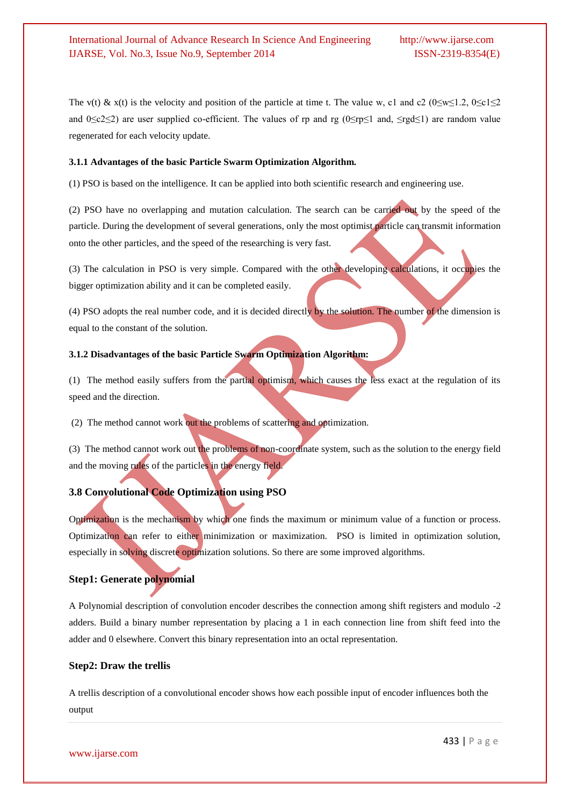The v(t) & x(t) is the velocity and position of the particle at time t. The value w, c1 and c2 (0≤w≤1.2, 0≤c1≤2 and  $0 \leq c \leq 2$ ) are user supplied co-efficient. The values of rp and rg ( $0 \leq r \leq 1$  and,  $\leq r \leq d \leq 1$ ) are random value regenerated for each velocity update.

#### **3.1.1 Advantages of the basic Particle Swarm Optimization Algorithm.**

(1) PSO is based on the intelligence. It can be applied into both scientific research and engineering use.

(2) PSO have no overlapping and mutation calculation. The search can be carried out by the speed of the particle. During the development of several generations, only the most optimist particle can transmit information onto the other particles, and the speed of the researching is very fast.

(3) The calculation in PSO is very simple. Compared with the other developing calculations, it occupies the bigger optimization ability and it can be completed easily.

(4) PSO adopts the real number code, and it is decided directly by the solution. The number of the dimension is equal to the constant of the solution.

### **3.1.2 Disadvantages of the basic Particle Swarm Optimization Algorithm:**

(1) The method easily suffers from the partial optimism, which causes the less exact at the regulation of its speed and the direction.

(2) The method cannot work out the problems of scattering and optimization.

(3) The method cannot work out the problems of non-coordinate system, such as the solution to the energy field and the moving rules of the particles in the energy field.

# **3.8 Convolutional Code Optimization using PSO**

Optimization is the mechanism by which one finds the maximum or minimum value of a function or process. Optimization can refer to either minimization or maximization. PSO is limited in optimization solution, especially in solving discrete optimization solutions. So there are some improved algorithms.

#### **Step1: Generate polynomial**

A Polynomial description of convolution encoder describes the connection among shift registers and modulo -2 adders. Build a binary number representation by placing a 1 in each connection line from shift feed into the adder and 0 elsewhere. Convert this binary representation into an octal representation.

#### **Step2: Draw the trellis**

A trellis description of a convolutional encoder shows how each possible input of encoder influences both the output

www.ijarse.com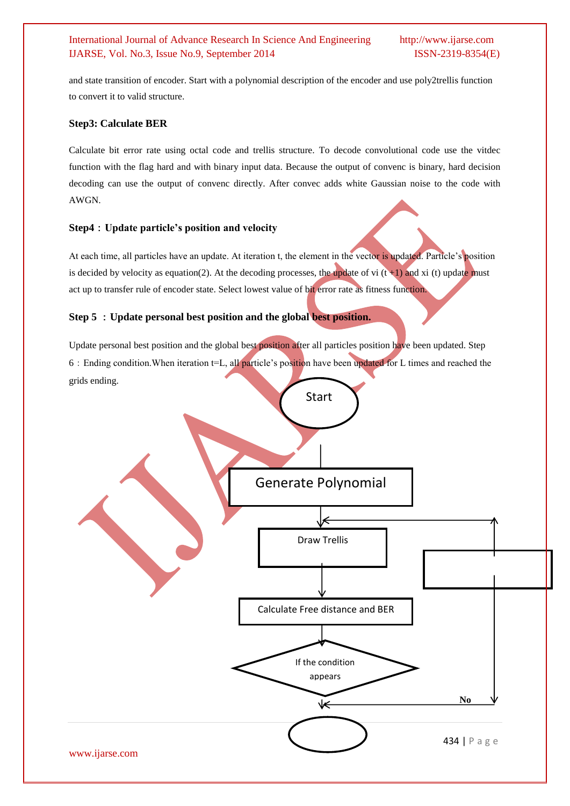and state transition of encoder. Start with a polynomial description of the encoder and use poly2trellis function to convert it to valid structure.

### **Step3: Calculate BER**

Calculate bit error rate using octal code and trellis structure. To decode convolutional code use the vitdec function with the flag hard and with binary input data. Because the output of convenc is binary, hard decision decoding can use the output of convenc directly. After convec adds white Gaussian noise to the code with AWGN.

# **Step4**:**Update particle's position and velocity**

At each time, all particles have an update. At iteration t, the element in the vector is updated. Particle's position is decided by velocity as equation(2). At the decoding processes, the update of vi  $(t+1)$  and xi (t) update must act up to transfer rule of encoder state. Select lowest value of bit error rate as fitness function.

# **Step 5** :**Update personal best position and the global best position.**

Update personal best position and the global best position after all particles position have been updated. Step 6:Ending condition.When iteration t=L, all particle's position have been updated for L times and reached the grids ending.

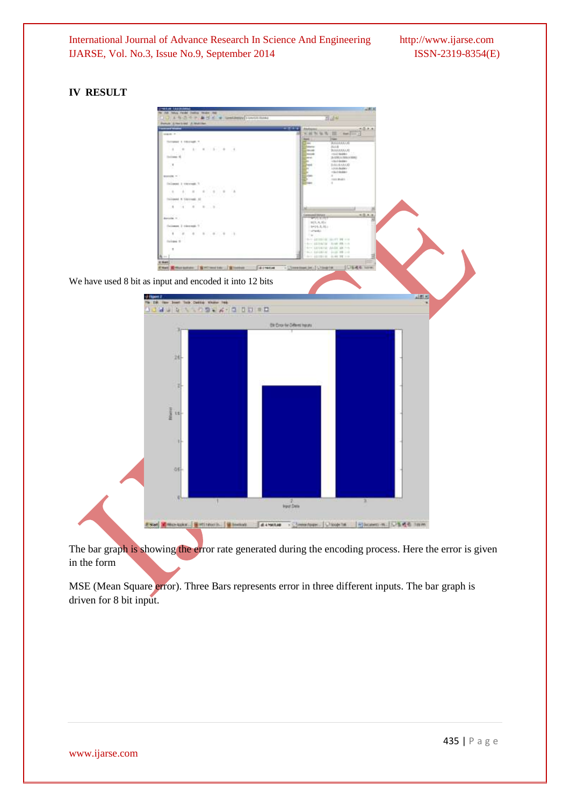# **IV RESULT**



The bar graph is showing the error rate generated during the encoding process. Here the error is given in the form

MSE (Mean Square error). Three Bars represents error in three different inputs. The bar graph is driven for 8 bit input.